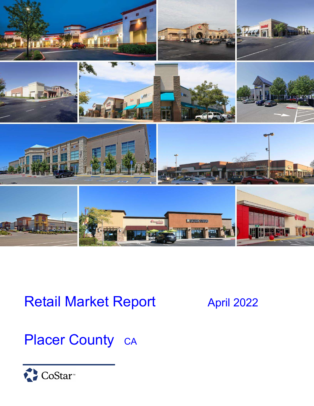

# Retail Market Report April 2022

# Placer County CA

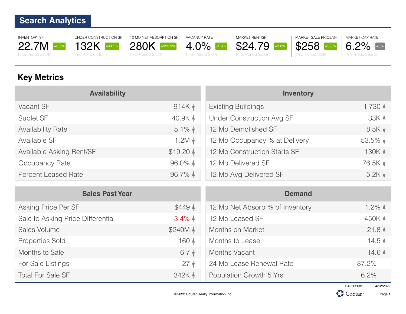INVENTORY SF 22.7M +0.3% Prior Period 22.7M



12 MO NET ABSORPTION SF 280K +923.9% Prior Period 27.3K

VACANCY RATE 4.0% -1.0% Prior Period 5.0%



\$24.79 +3.8%

MARKET SALE PRICE/SF \$258 +3.8% Prior Period \$249



MARKET CAP RATE

### **Key Metrics**

| <b>Availability</b>        |                      | <b>Inventory</b>                 |                       |  |
|----------------------------|----------------------|----------------------------------|-----------------------|--|
| Vacant SF                  | $914K$ $\star$       | <b>Existing Buildings</b>        | 1,730 $\uparrow$      |  |
| Sublet SF                  | 40.9K A              | <b>Under Construction Avg SF</b> | 33K 4                 |  |
| <b>Availability Rate</b>   | $5.1\%$ $\star$      | 12 Mo Demolished SF              | 8.5K                  |  |
| Available SF               | $1.2M \star$         | 12 Mo Occupancy % at Delivery    | $53.5\%$ $\downarrow$ |  |
| Available Asking Rent/SF   | $$19.20$ $\triangle$ | 12 Mo Construction Starts SF     | 130K 4                |  |
| Occupancy Rate             | $96.0\%$ $\triangle$ | 12 Mo Delivered SF               | 76.5K $\sqrt{ }$      |  |
| <b>Percent Leased Rate</b> | 96.7% $\uparrow$     | 12 Mo Avg Delivered SF           | $5.2K +$              |  |

| <b>Sales Past Year</b>            |                     | <b>Demand</b>                   |                    |  |
|-----------------------------------|---------------------|---------------------------------|--------------------|--|
| Asking Price Per SF               | \$449 4             | 12 Mo Net Absorp % of Inventory | $1.2\%$ $\uparrow$ |  |
| Sale to Asking Price Differential | $-3.4\%$ $\uparrow$ | 12 Mo Leased SF                 | 450K 4             |  |
| Sales Volume                      | \$240M 4            | Months on Market                | $21.8$ $\triangle$ |  |
| <b>Properties Sold</b>            | 160 4               | Months to Lease                 | 14.5 <sub>4</sub>  |  |
| Months to Sale                    | $6.7 \star$         | Months Vacant                   | 14.6 4             |  |
| For Sale Listings                 | $27 \sqrt{ }$       | 24 Mo Lease Renewal Rate        | 87.2%              |  |
| <b>Total For Sale SF</b>          | 342K 4              | Population Growth 5 Yrs         | 6.2%               |  |



Page 1

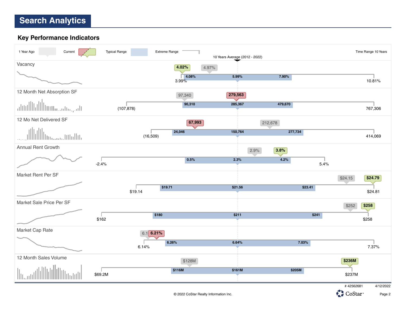#### **Key Performance Indicators**

| Current<br>1 Year Ago      | <b>Typical Range</b> | Extreme Range       | 10 Years Average (2012 - 2022) |              | Time Range 10 Years    |
|----------------------------|----------------------|---------------------|--------------------------------|--------------|------------------------|
| Vacancy                    |                      | 4.02%               | 4.97%                          |              |                        |
|                            |                      | 4.08%<br>3.99%      | 5.99%                          | 7.90%        | 10.81%                 |
| 12 Month Net Absorption SF |                      | 97,340              | 279,563                        |              |                        |
| الشروباستسالاللا           | (107, 878)           | 90,310              | 285,367                        | 479,670      | 767,306                |
| 12 Mo Net Delivered SF     |                      | 67,993              |                                | 212,678      |                        |
| بالأسلال بمنبيته           |                      | 24,046<br>(16, 509) | 150,764                        | 277,734      | 414,069                |
| <b>Annual Rent Growth</b>  |                      |                     |                                | 3.8%<br>2.9% |                        |
|                            | $-2.4%$              | 0.5%                | 2.3%                           | 4.2%         | 5.4%                   |
| Market Rent Per SF         |                      |                     |                                |              | \$24.15<br>\$24.79     |
|                            | \$19.14              | \$19.71             | \$21.56                        | \$23.41      | \$24.81                |
| Market Sale Price Per SF   |                      |                     |                                |              | \$258<br>\$252         |
|                            |                      | \$180               | \$211                          |              | \$241                  |
|                            | \$162                |                     |                                |              | \$258                  |
| Market Cap Rate            |                      | $6.1$ 6.21%         |                                |              |                        |
|                            |                      | 6.26%<br>6.14%      | 6.64%                          | 7.03%        | 7.37%                  |
| 12 Month Sales Volume      |                      | \$128M              |                                |              | \$236M                 |
|                            | \$69.2M              | \$116M              | \$161M                         | \$205M       | \$237M                 |
|                            |                      |                     |                                |              | #42562681<br>4/12/2022 |

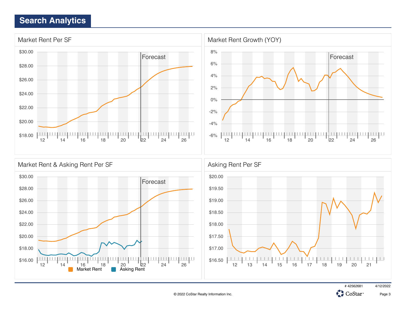



Page 3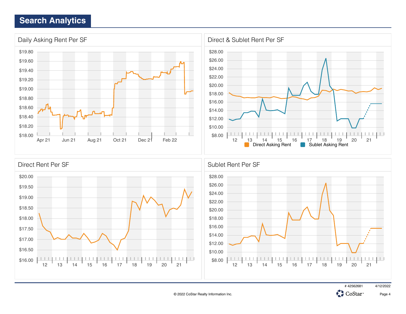





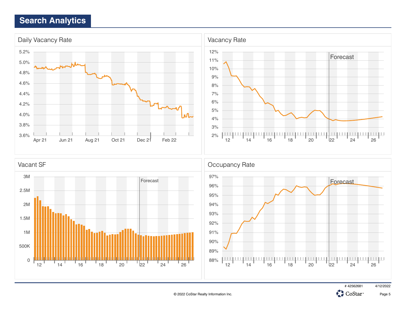



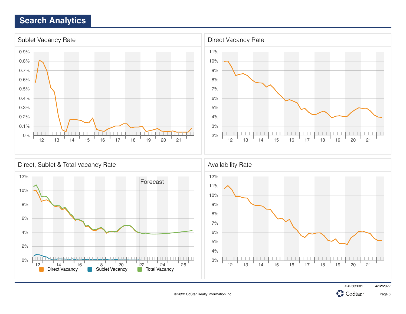





Page 6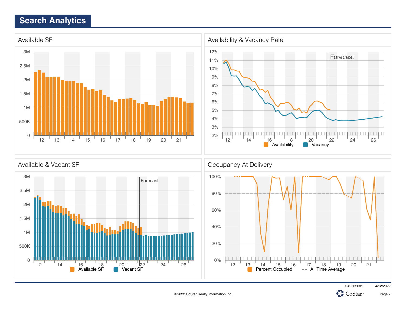

0 500K 1M  $12$   $14$   $16$   $16$   $18$   $20$   $22$   $24$   $24$   $26$ <br>Available SF **C** Vacant SF





12 1<u>3</u> 14 15 16 17 18 19 20 21

Percent Occupied - All Time Average

0%

20%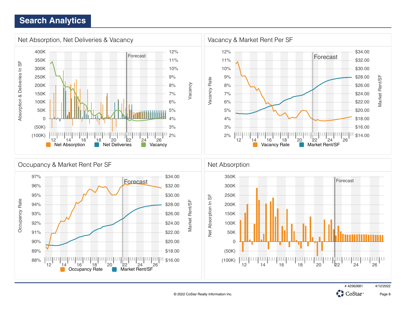



CoStar<sup>®</sup>

C.

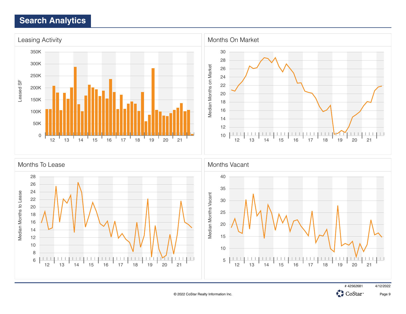

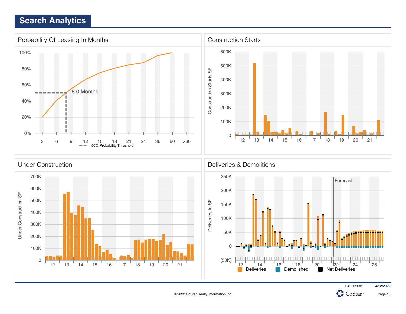

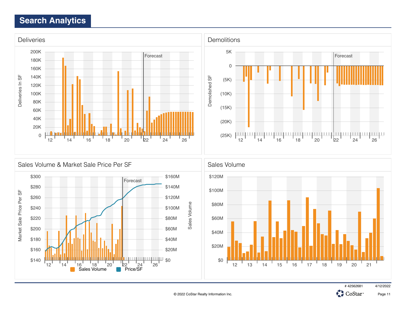





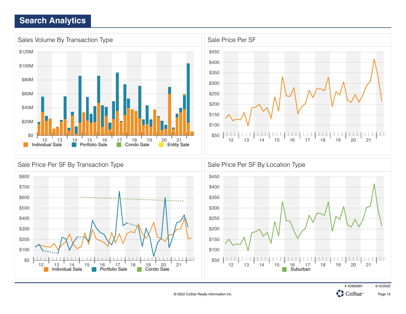\$0

12 13 14 15 16 17 18 19 20 21



Individual Sale **Portfolio Sale Condo Sale** Condo Sale Suburban

\$50

 $\begin{array}{c|c|c|c|c|c} \hline \textbf{1} & \textbf{1} & \textbf{1} & \textbf{1} \\ \hline \end{array}$ 



 $\Box$ 

12 13 14 15 16 17 18 19 20 21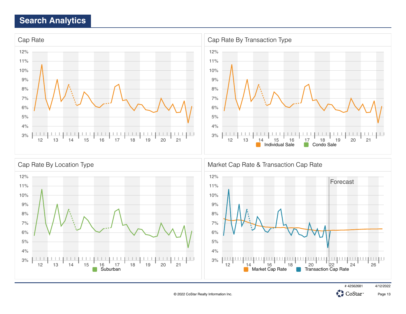



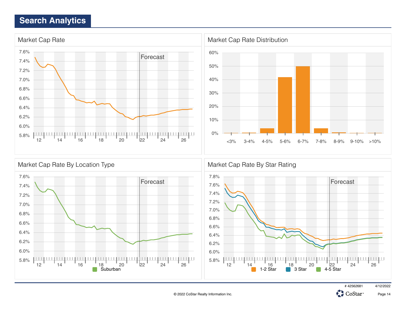



# 42562681 4/12/2022

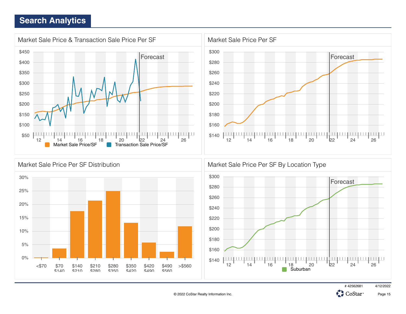





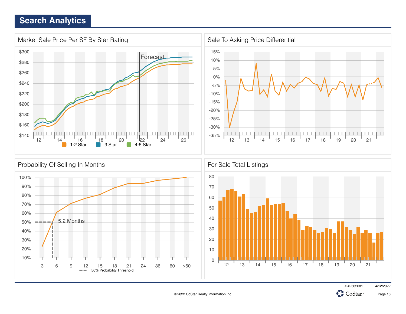



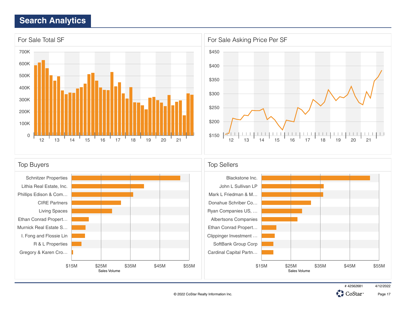



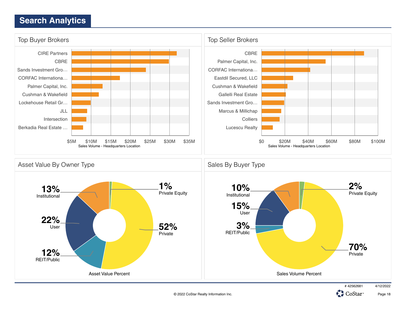

© 2022 CoStar Realty Information Inc.

Page 18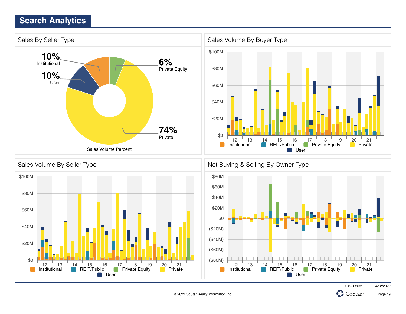

© 2022 CoStar Realty Information Inc.

Page 19

£.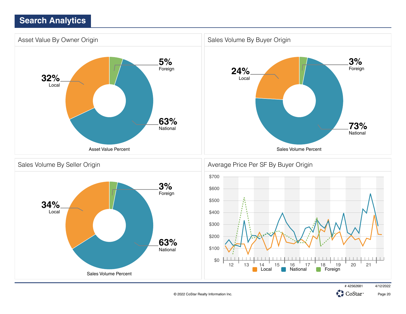

© 2022 CoStar Realty Information Inc.

Page 20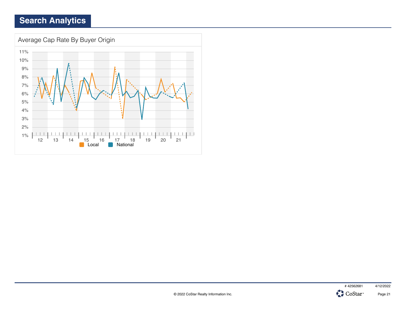

Page 21